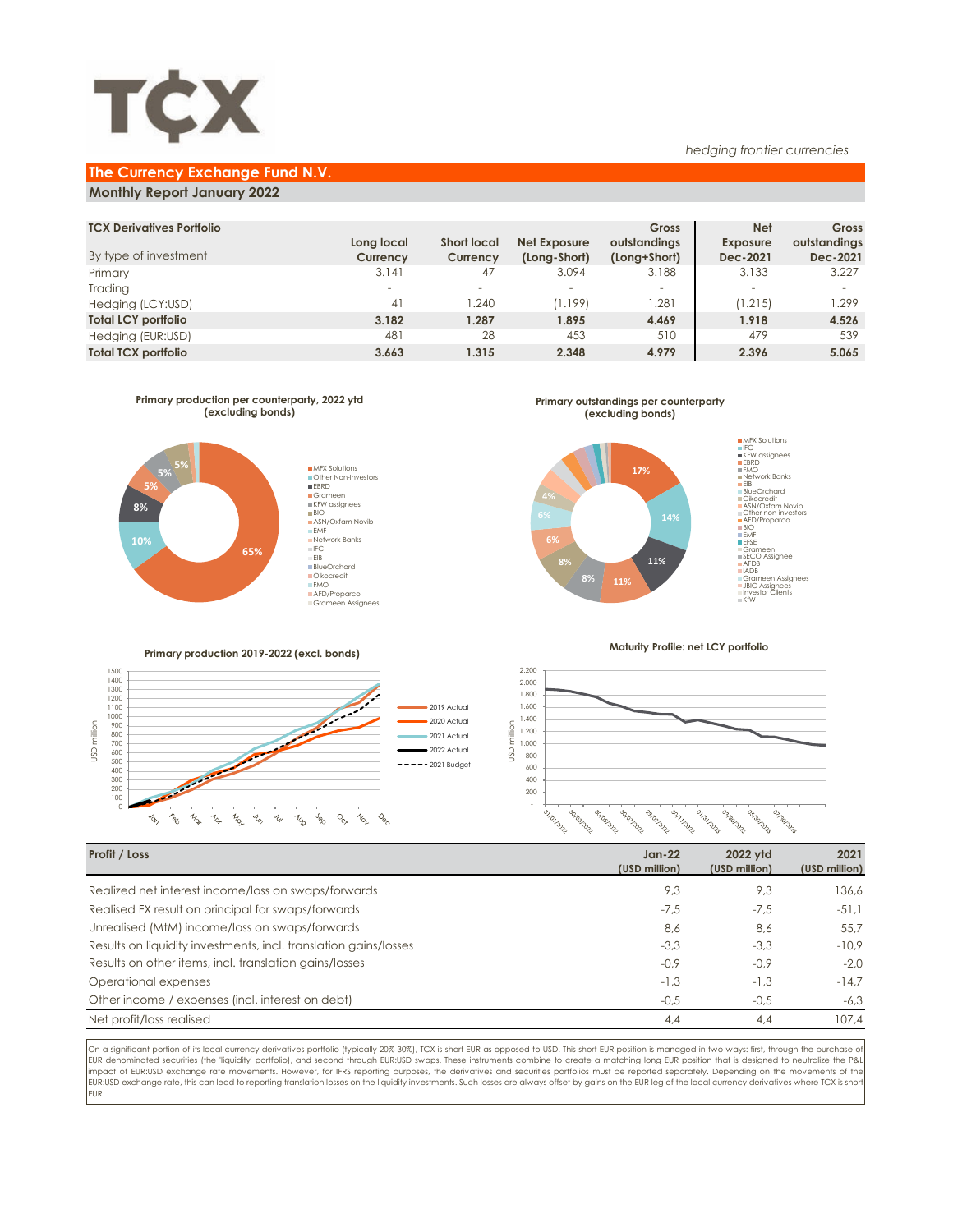

### **The Currency Exchange Fund N.V.**

## **Monthly Report January 2022**

| <b>TCX Derivatives Portfolio</b> |                          |                    |              | Gross        | <b>Net</b>               | Gross        |
|----------------------------------|--------------------------|--------------------|--------------|--------------|--------------------------|--------------|
|                                  | Long local               | <b>Short local</b> | Net Exposure | outstandings | <b>Exposure</b>          | outstandings |
| By type of investment            | Currency                 | Currency           | (Long-Short) | (Long+Short) | Dec-2021                 | Dec-2021     |
| Primary                          | 3.141                    | 47                 | 3.094        | 3.188        | 3.133                    | 3.227        |
| Trading                          | $\overline{\phantom{a}}$ |                    | $\sim$       | -            | $\overline{\phantom{a}}$ |              |
| Hedging (LCY:USD)                | 41                       | 1.240              | (1.199)      | .281         | (1.215)                  | 1.299        |
| <b>Total LCY portfolio</b>       | 3.182                    | 1.287              | 1.895        | 4.469        | 1.918                    | 4.526        |
| Hedging (EUR:USD)                | 481                      | 28                 | 453          | 510          | 479                      | 539          |
| <b>Total TCX portfolio</b>       | 3.663                    | 1.315              | 2.348        | 4.979        | 2.396                    | 5.065        |
|                                  |                          |                    |              |              |                          |              |



**Primary outstandings per counterparty (excluding bonds)**



**Primary production 2019-2022 (excl. bonds)**



**Maturity Profile: net LCY portfolio**

*hedging frontier currencies*



| Profit / Loss                                                    | $Jan-22$<br>(USD million) | 2022 vtd<br>(USD million) | 2021<br>(USD million) |
|------------------------------------------------------------------|---------------------------|---------------------------|-----------------------|
| Realized net interest income/loss on swaps/forwards              | 9,3                       | 9,3                       | 136,6                 |
| Realised FX result on principal for swaps/forwards               | $-7,5$                    | $-7.5$                    | $-51.1$               |
| Unrealised (MtM) income/loss on swaps/forwards                   | 8,6                       | 8.6                       | 55.7                  |
| Results on liquidity investments, incl. translation gains/losses | $-3,3$                    | $-3.3$                    | $-10.9$               |
| Results on other items, incl. translation gains/losses           | $-0,9$                    | $-0.9$                    | $-2.0$                |
| Operational expenses                                             | $-1,3$                    | $-1.3$                    | $-14.7$               |
| Other income / expenses (incl. interest on debt)                 | $-0,5$                    | $-0,5$                    | $-6,3$                |
| Net profit/loss realised                                         | 4,4                       | 4.4                       | 107.4                 |

On a significant portion of its local currency derivatives portfolio (typically 20%-30%), TCX is short EUR as opposed to USD. This short EUR position is managed in two ways: first, through the purchase of EUR denominated securities (the 'liquidity' portfolio), and second through EUR:USD swaps. These instruments combine to create a matching long EUR position that is designed to neutralize the P&L impact of EUR:USD exchange rate movements. However, for IFRS reporting purposes, the derivatives and securities portfolios must be reported separately. Depending on the movements of the EUR:USD exchange rate, this can lead to reporting translation losses on the liquidity investments. Such losses are always offset by gains on the EUR leg of the local currency derivatives where TCX is shor EUR.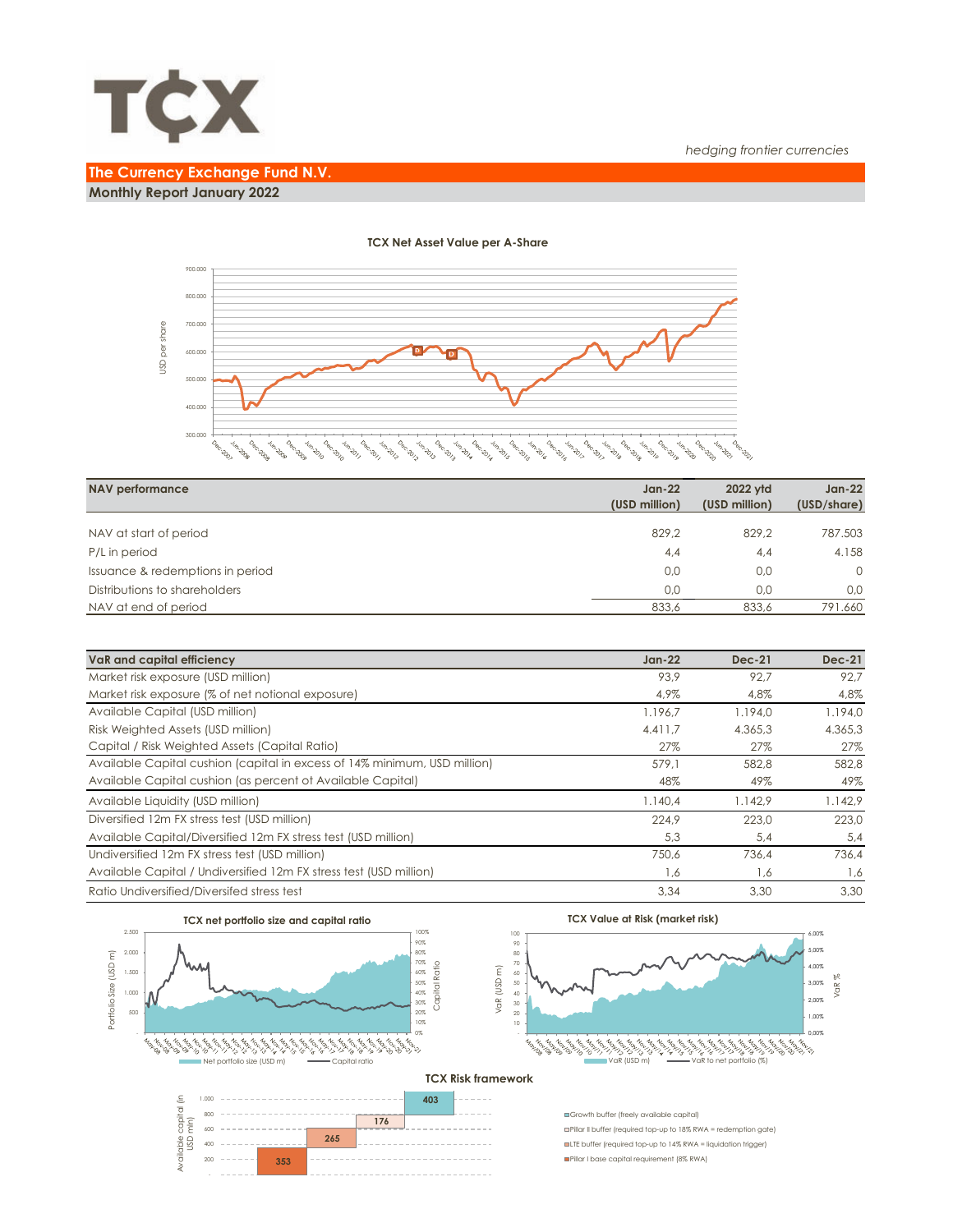

# **The Currency Exchange Fund N.V. Monthly Report January 2022**



#### **TCX Net Asset Value per A-Share**

| <b>NAV performance</b>           | $Jan-22$<br>(USD million) | 2022 vtd<br>(USD million) | $Jan-22$<br>(USD/share) |
|----------------------------------|---------------------------|---------------------------|-------------------------|
|                                  |                           |                           |                         |
| NAV at start of period           | 829.2                     | 829.2                     | 787.503                 |
| P/L in period                    | 4,4                       | 4,4                       | 4.158                   |
| Issuance & redemptions in period | 0.0                       | 0.0                       | $\Omega$                |
| Distributions to shareholders    | 0.0                       | 0.0                       | 0.0                     |
| NAV at end of period             | 833,6                     | 833.6                     | 791.660                 |

| VaR and capital efficiency                                                | $Jan-22$ | $Dec-21$ | <b>Dec-21</b> |
|---------------------------------------------------------------------------|----------|----------|---------------|
| Market risk exposure (USD million)                                        | 93.9     | 92.7     | 92.7          |
| Market risk exposure (% of net notional exposure)                         | 4,9%     | 4.8%     | 4,8%          |
| Available Capital (USD million)                                           | 1.196.7  | 1.194.0  | 1.194.0       |
| Risk Weighted Assets (USD million)                                        | 4.411.7  | 4.365.3  | 4.365,3       |
| Capital / Risk Weighted Assets (Capital Ratio)                            | 27%      | 27%      | 27%           |
| Available Capital cushion (capital in excess of 14% minimum, USD million) | 579.1    | 582.8    | 582.8         |
| Available Capital cushion (as percent of Available Capital)               | 48%      | 49%      | 49%           |
| Available Liquidity (USD million)                                         | 1.140,4  | 1.142.9  | 1.142,9       |
| Diversified 12m FX stress test (USD million)                              | 224.9    | 223.0    | 223.0         |
| Available Capital/Diversified 12m FX stress test (USD million)            | 5,3      | 5,4      | 5,4           |
| Undiversified 12m FX stress test (USD million)                            | 750.6    | 736.4    | 736.4         |
| Available Capital / Undiversified 12m FX stress test (USD million)        | 1,6      | 1,6      | 1,6           |
| Ratio Undiversified/Diversifed stress test                                | 3.34     | 3.30     | 3.30          |